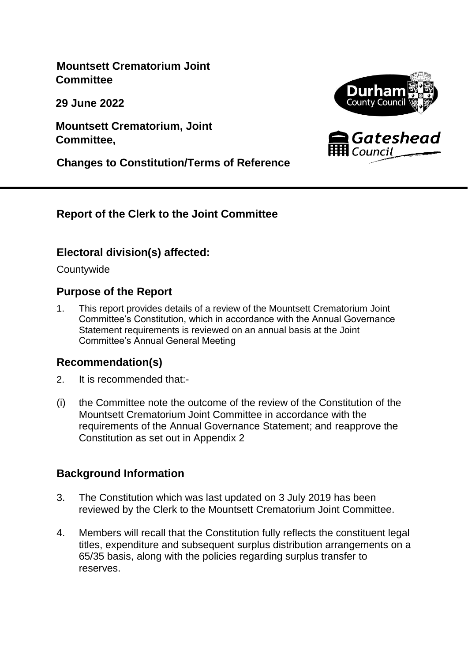**Mountsett Crematorium Joint Committee**

**29 June 2022**

**Mountsett Crematorium, Joint Committee,**







### **Report of the Clerk to the Joint Committee**

### **Electoral division(s) affected:**

**Countywide** 

### **Purpose of the Report**

1. This report provides details of a review of the Mountsett Crematorium Joint Committee's Constitution, which in accordance with the Annual Governance Statement requirements is reviewed on an annual basis at the Joint Committee's Annual General Meeting

### **Recommendation(s)**

- 2. It is recommended that:-
- (i) the Committee note the outcome of the review of the Constitution of the Mountsett Crematorium Joint Committee in accordance with the requirements of the Annual Governance Statement; and reapprove the Constitution as set out in Appendix 2

### **Background Information**

- 3. The Constitution which was last updated on 3 July 2019 has been reviewed by the Clerk to the Mountsett Crematorium Joint Committee.
- 4. Members will recall that the Constitution fully reflects the constituent legal titles, expenditure and subsequent surplus distribution arrangements on a 65/35 basis, along with the policies regarding surplus transfer to reserves.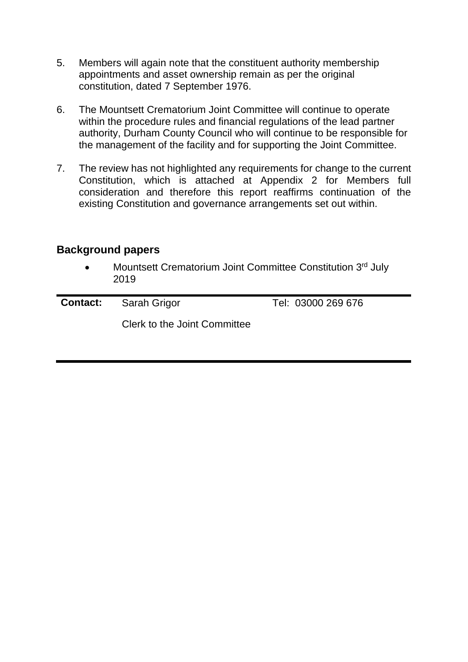- 5. Members will again note that the constituent authority membership appointments and asset ownership remain as per the original constitution, dated 7 September 1976.
- 6. The Mountsett Crematorium Joint Committee will continue to operate within the procedure rules and financial regulations of the lead partner authority, Durham County Council who will continue to be responsible for the management of the facility and for supporting the Joint Committee.
- 7. The review has not highlighted any requirements for change to the current Constitution, which is attached at Appendix 2 for Members full consideration and therefore this report reaffirms continuation of the existing Constitution and governance arrangements set out within.

#### **Background papers**

• Mountsett Crematorium Joint Committee Constitution 3<sup>rd</sup> July 2019

| <b>Contact:</b> Sarah Grigor | Tel: 03000 269 676 |
|------------------------------|--------------------|
| Clerk to the Joint Committee |                    |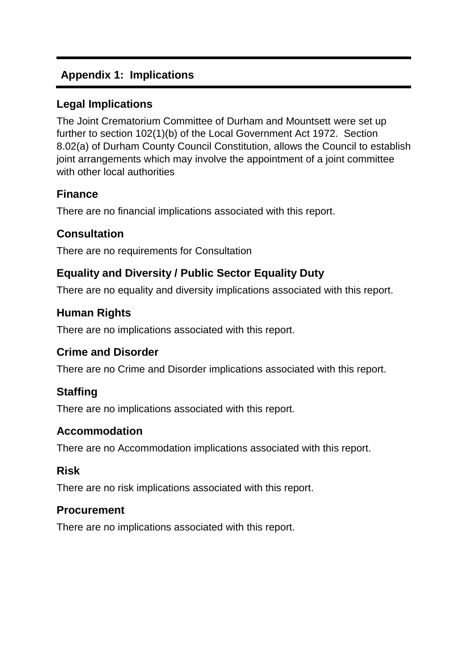# **Appendix 1: Implications**

# **Legal Implications**

The Joint Crematorium Committee of Durham and Mountsett were set up further to section 102(1)(b) of the Local Government Act 1972. Section 8.02(a) of Durham County Council Constitution, allows the Council to establish joint arrangements which may involve the appointment of a joint committee with other local authorities

# **Finance**

There are no financial implications associated with this report.

# **Consultation**

There are no requirements for Consultation

# **Equality and Diversity / Public Sector Equality Duty**

There are no equality and diversity implications associated with this report.

# **Human Rights**

There are no implications associated with this report.

# **Crime and Disorder**

There are no Crime and Disorder implications associated with this report.

# **Staffing**

There are no implications associated with this report.

### **Accommodation**

There are no Accommodation implications associated with this report.

### **Risk**

There are no risk implications associated with this report.

#### **Procurement**

There are no implications associated with this report.